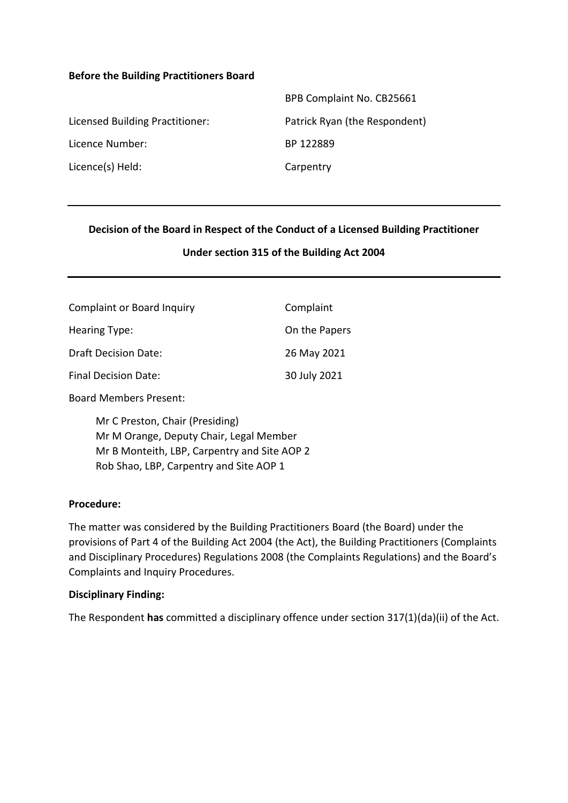#### **Before the Building Practitioners Board**

|                                 | BPB Complaint No. CB25661     |
|---------------------------------|-------------------------------|
| Licensed Building Practitioner: | Patrick Ryan (the Respondent) |
| Licence Number:                 | BP 122889                     |
| Licence(s) Held:                | Carpentry                     |

### **Decision of the Board in Respect of the Conduct of a Licensed Building Practitioner**

#### **Under section 315 of the Building Act 2004**

| <b>Complaint or Board Inquiry</b> | Complaint     |
|-----------------------------------|---------------|
| Hearing Type:                     | On the Papers |
| <b>Draft Decision Date:</b>       | 26 May 2021   |
| Final Decision Date:              | 30 July 2021  |

Board Members Present:

Mr C Preston, Chair (Presiding) Mr M Orange, Deputy Chair, Legal Member Mr B Monteith, LBP, Carpentry and Site AOP 2 Rob Shao, LBP, Carpentry and Site AOP 1

#### **Procedure:**

The matter was considered by the Building Practitioners Board (the Board) under the provisions of Part 4 of the Building Act 2004 (the Act), the Building Practitioners (Complaints and Disciplinary Procedures) Regulations 2008 (the Complaints Regulations) and the Board's Complaints and Inquiry Procedures.

#### **Disciplinary Finding:**

The Respondent **has** committed a disciplinary offence under section 317(1)(da)(ii) of the Act.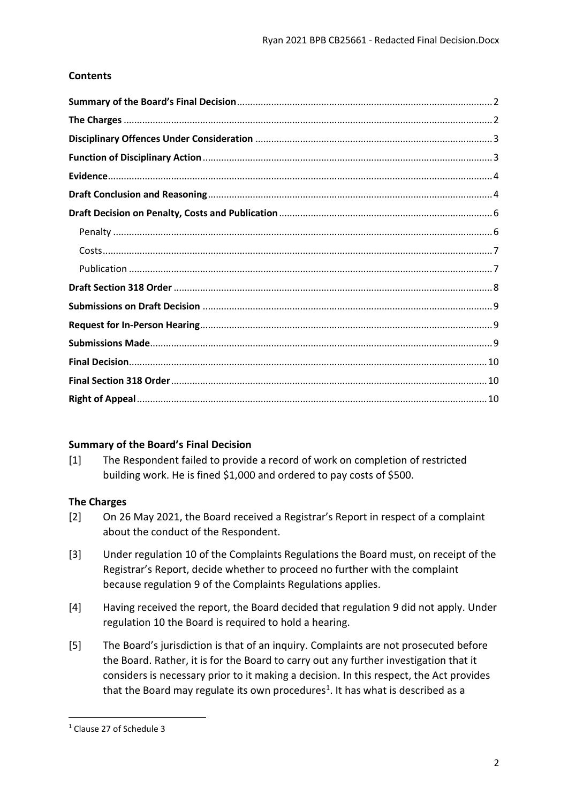# **Contents**

# <span id="page-1-0"></span>**Summary of the Board's Final Decision**

[1] The Respondent failed to provide a record of work on completion of restricted building work. He is fined \$1,000 and ordered to pay costs of \$500.

# <span id="page-1-1"></span>**The Charges**

- [2] On 26 May 2021, the Board received a Registrar's Report in respect of a complaint about the conduct of the Respondent.
- [3] Under regulation 10 of the Complaints Regulations the Board must, on receipt of the Registrar's Report, decide whether to proceed no further with the complaint because regulation 9 of the Complaints Regulations applies.
- [4] Having received the report, the Board decided that regulation 9 did not apply. Under regulation 10 the Board is required to hold a hearing.
- [5] The Board's jurisdiction is that of an inquiry. Complaints are not prosecuted before the Board. Rather, it is for the Board to carry out any further investigation that it considers is necessary prior to it making a decision. In this respect, the Act provides that the Board may regulate its own procedures<sup>1</sup>. It has what is described as a

**.** 

<sup>1</sup> Clause 27 of Schedule 3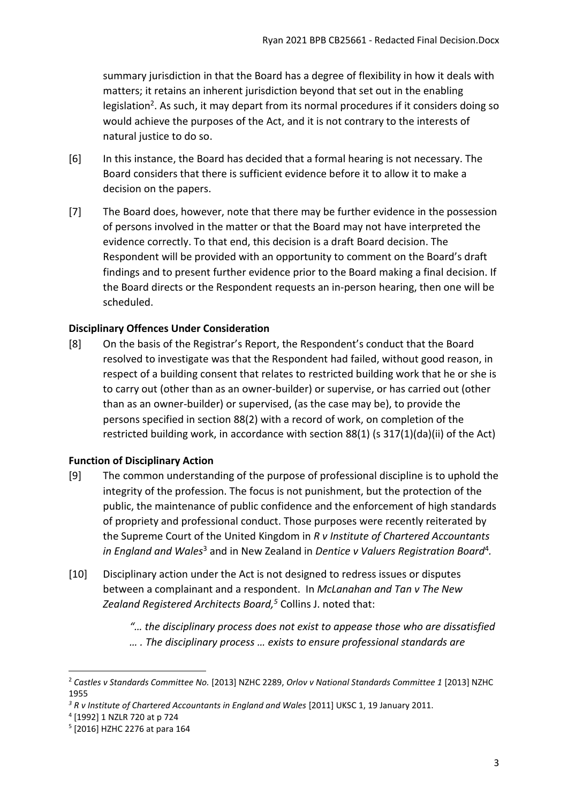summary jurisdiction in that the Board has a degree of flexibility in how it deals with matters; it retains an inherent jurisdiction beyond that set out in the enabling legislation<sup>2</sup>. As such, it may depart from its normal procedures if it considers doing so would achieve the purposes of the Act, and it is not contrary to the interests of natural justice to do so.

- [6] In this instance, the Board has decided that a formal hearing is not necessary. The Board considers that there is sufficient evidence before it to allow it to make a decision on the papers.
- [7] The Board does, however, note that there may be further evidence in the possession of persons involved in the matter or that the Board may not have interpreted the evidence correctly. To that end, this decision is a draft Board decision. The Respondent will be provided with an opportunity to comment on the Board's draft findings and to present further evidence prior to the Board making a final decision. If the Board directs or the Respondent requests an in-person hearing, then one will be scheduled.

## <span id="page-2-0"></span>**Disciplinary Offences Under Consideration**

[8] On the basis of the Registrar's Report, the Respondent's conduct that the Board resolved to investigate was that the Respondent had failed, without good reason, in respect of a building consent that relates to restricted building work that he or she is to carry out (other than as an owner-builder) or supervise, or has carried out (other than as an owner-builder) or supervised, (as the case may be), to provide the persons specified in section 88(2) with a record of work, on completion of the restricted building work, in accordance with section 88(1) (s 317(1)(da)(ii) of the Act)

### <span id="page-2-1"></span>**Function of Disciplinary Action**

- [9] The common understanding of the purpose of professional discipline is to uphold the integrity of the profession. The focus is not punishment, but the protection of the public, the maintenance of public confidence and the enforcement of high standards of propriety and professional conduct. Those purposes were recently reiterated by the Supreme Court of the United Kingdom in *R v Institute of Chartered Accountants*  in England and Wales<sup>3</sup> and in New Zealand in Dentice v Valuers Registration Board<sup>4</sup>.
- [10] Disciplinary action under the Act is not designed to redress issues or disputes between a complainant and a respondent. In *McLanahan and Tan v The New Zealand Registered Architects Board, <sup>5</sup>* Collins J. noted that:
	- *"… the disciplinary process does not exist to appease those who are dissatisfied … . The disciplinary process … exists to ensure professional standards are*

**.** 

<sup>2</sup> *Castles v Standards Committee No.* [2013] NZHC 2289, *Orlov v National Standards Committee 1* [2013] NZHC 1955

<sup>&</sup>lt;sup>3</sup> R v Institute of Chartered Accountants in England and Wales [2011] UKSC 1, 19 January 2011.

<sup>4</sup> [1992] 1 NZLR 720 at p 724

<sup>5</sup> [2016] HZHC 2276 at para 164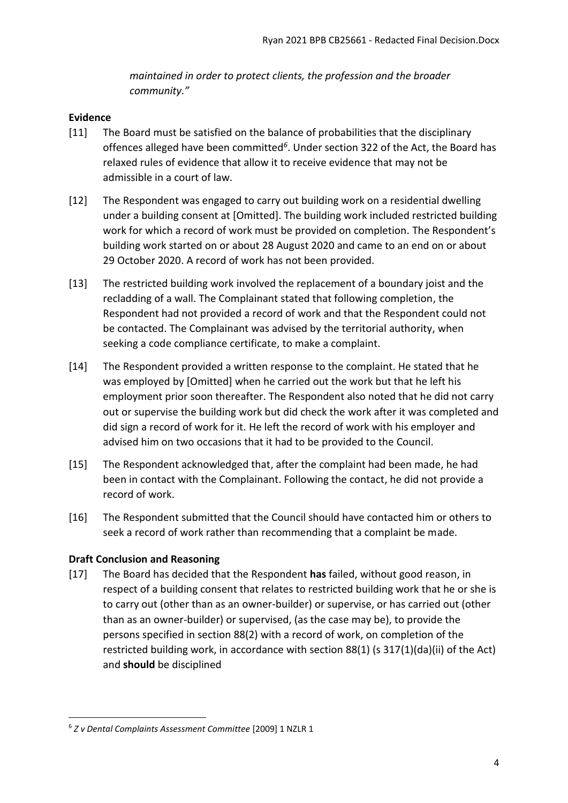*maintained in order to protect clients, the profession and the broader community."*

## <span id="page-3-0"></span>**Evidence**

- [11] The Board must be satisfied on the balance of probabilities that the disciplinary offences alleged have been committed*<sup>6</sup>* . Under section 322 of the Act, the Board has relaxed rules of evidence that allow it to receive evidence that may not be admissible in a court of law.
- [12] The Respondent was engaged to carry out building work on a residential dwelling under a building consent at [Omitted]. The building work included restricted building work for which a record of work must be provided on completion. The Respondent's building work started on or about 28 August 2020 and came to an end on or about 29 October 2020. A record of work has not been provided.
- [13] The restricted building work involved the replacement of a boundary joist and the recladding of a wall. The Complainant stated that following completion, the Respondent had not provided a record of work and that the Respondent could not be contacted. The Complainant was advised by the territorial authority, when seeking a code compliance certificate, to make a complaint.
- [14] The Respondent provided a written response to the complaint. He stated that he was employed by [Omitted] when he carried out the work but that he left his employment prior soon thereafter. The Respondent also noted that he did not carry out or supervise the building work but did check the work after it was completed and did sign a record of work for it. He left the record of work with his employer and advised him on two occasions that it had to be provided to the Council.
- [15] The Respondent acknowledged that, after the complaint had been made, he had been in contact with the Complainant. Following the contact, he did not provide a record of work.
- [16] The Respondent submitted that the Council should have contacted him or others to seek a record of work rather than recommending that a complaint be made.

# <span id="page-3-1"></span>**Draft Conclusion and Reasoning**

**.** 

[17] The Board has decided that the Respondent **has** failed, without good reason, in respect of a building consent that relates to restricted building work that he or she is to carry out (other than as an owner-builder) or supervise, or has carried out (other than as an owner-builder) or supervised, (as the case may be), to provide the persons specified in section 88(2) with a record of work, on completion of the restricted building work, in accordance with section 88(1) (s 317(1)(da)(ii) of the Act) and **should** be disciplined

<sup>6</sup> *Z v Dental Complaints Assessment Committee* [2009] 1 NZLR 1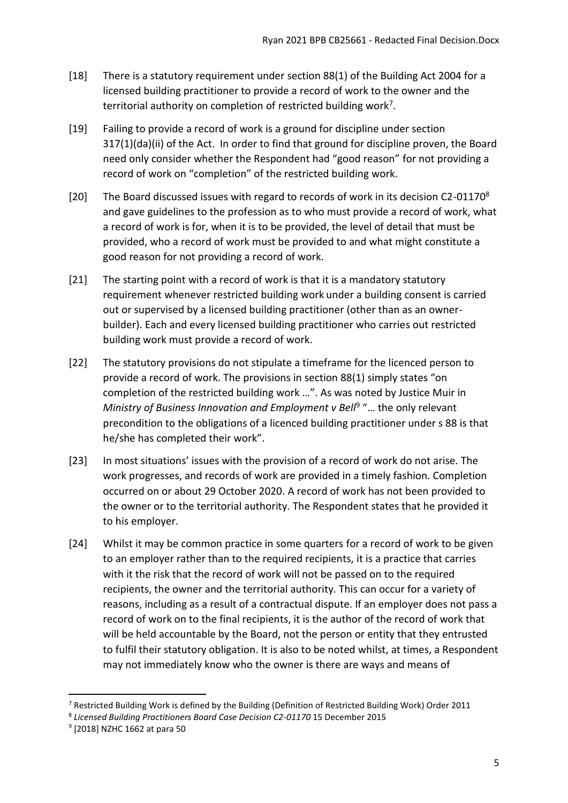- [18] There is a statutory requirement under section 88(1) of the Building Act 2004 for a licensed building practitioner to provide a record of work to the owner and the territorial authority on completion of restricted building work<sup>7</sup>.
- [19] Failing to provide a record of work is a ground for discipline under section 317(1)(da)(ii) of the Act. In order to find that ground for discipline proven, the Board need only consider whether the Respondent had "good reason" for not providing a record of work on "completion" of the restricted building work.
- [20] The Board discussed issues with regard to records of work in its decision C2-01170<sup>8</sup> and gave guidelines to the profession as to who must provide a record of work, what a record of work is for, when it is to be provided, the level of detail that must be provided, who a record of work must be provided to and what might constitute a good reason for not providing a record of work.
- [21] The starting point with a record of work is that it is a mandatory statutory requirement whenever restricted building work under a building consent is carried out or supervised by a licensed building practitioner (other than as an ownerbuilder). Each and every licensed building practitioner who carries out restricted building work must provide a record of work.
- [22] The statutory provisions do not stipulate a timeframe for the licenced person to provide a record of work. The provisions in section 88(1) simply states "on completion of the restricted building work …". As was noted by Justice Muir in Ministry of Business Innovation and Employment v Bell<sup>9</sup> "... the only relevant precondition to the obligations of a licenced building practitioner under s 88 is that he/she has completed their work".
- [23] In most situations' issues with the provision of a record of work do not arise. The work progresses, and records of work are provided in a timely fashion. Completion occurred on or about 29 October 2020. A record of work has not been provided to the owner or to the territorial authority. The Respondent states that he provided it to his employer.
- [24] Whilst it may be common practice in some quarters for a record of work to be given to an employer rather than to the required recipients, it is a practice that carries with it the risk that the record of work will not be passed on to the required recipients, the owner and the territorial authority. This can occur for a variety of reasons, including as a result of a contractual dispute. If an employer does not pass a record of work on to the final recipients, it is the author of the record of work that will be held accountable by the Board, not the person or entity that they entrusted to fulfil their statutory obligation. It is also to be noted whilst, at times, a Respondent may not immediately know who the owner is there are ways and means of

**.** 

<sup>&</sup>lt;sup>7</sup> Restricted Building Work is defined by the Building (Definition of Restricted Building Work) Order 2011

<sup>&</sup>lt;sup>8</sup> Licensed Building Practitioners Board Case Decision C2-01170 15 December 2015

<sup>9</sup> [2018] NZHC 1662 at para 50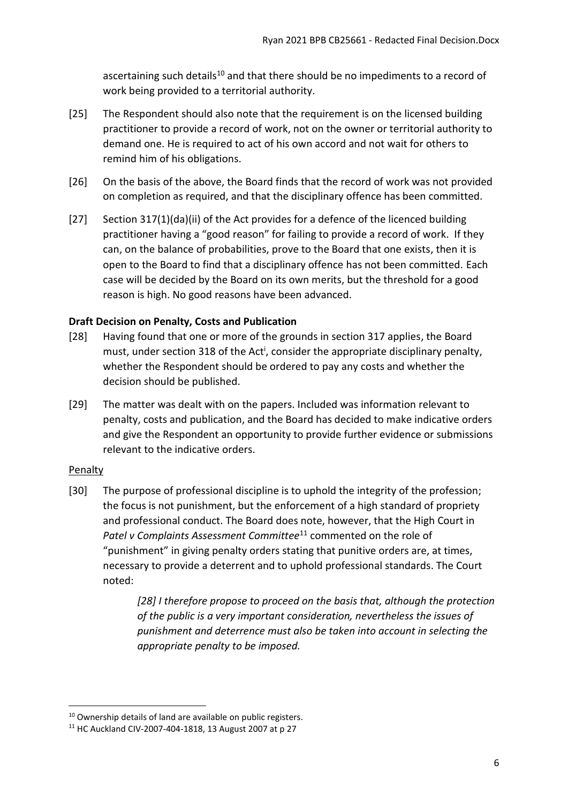ascertaining such details<sup>10</sup> and that there should be no impediments to a record of work being provided to a territorial authority.

- [25] The Respondent should also note that the requirement is on the licensed building practitioner to provide a record of work, not on the owner or territorial authority to demand one. He is required to act of his own accord and not wait for others to remind him of his obligations.
- [26] On the basis of the above, the Board finds that the record of work was not provided on completion as required, and that the disciplinary offence has been committed.
- [27] Section 317(1)(da)(ii) of the Act provides for a defence of the licenced building practitioner having a "good reason" for failing to provide a record of work. If they can, on the balance of probabilities, prove to the Board that one exists, then it is open to the Board to find that a disciplinary offence has not been committed. Each case will be decided by the Board on its own merits, but the threshold for a good reason is high. No good reasons have been advanced.

# <span id="page-5-0"></span>**Draft Decision on Penalty, Costs and Publication**

- [28] Having found that one or more of the grounds in section 317 applies, the Board must, under section 318 of the Act<sup>i</sup>, consider the appropriate disciplinary penalty, whether the Respondent should be ordered to pay any costs and whether the decision should be published.
- [29] The matter was dealt with on the papers. Included was information relevant to penalty, costs and publication, and the Board has decided to make indicative orders and give the Respondent an opportunity to provide further evidence or submissions relevant to the indicative orders.

# <span id="page-5-1"></span>**Penalty**

1

[30] The purpose of professional discipline is to uphold the integrity of the profession; the focus is not punishment, but the enforcement of a high standard of propriety and professional conduct. The Board does note, however, that the High Court in Patel v Complaints Assessment Committee<sup>11</sup> commented on the role of "punishment" in giving penalty orders stating that punitive orders are, at times, necessary to provide a deterrent and to uphold professional standards. The Court noted:

> *[28] I therefore propose to proceed on the basis that, although the protection of the public is a very important consideration, nevertheless the issues of punishment and deterrence must also be taken into account in selecting the appropriate penalty to be imposed.*

<sup>&</sup>lt;sup>10</sup> Ownership details of land are available on public registers.

<sup>11</sup> HC Auckland CIV-2007-404-1818, 13 August 2007 at p 27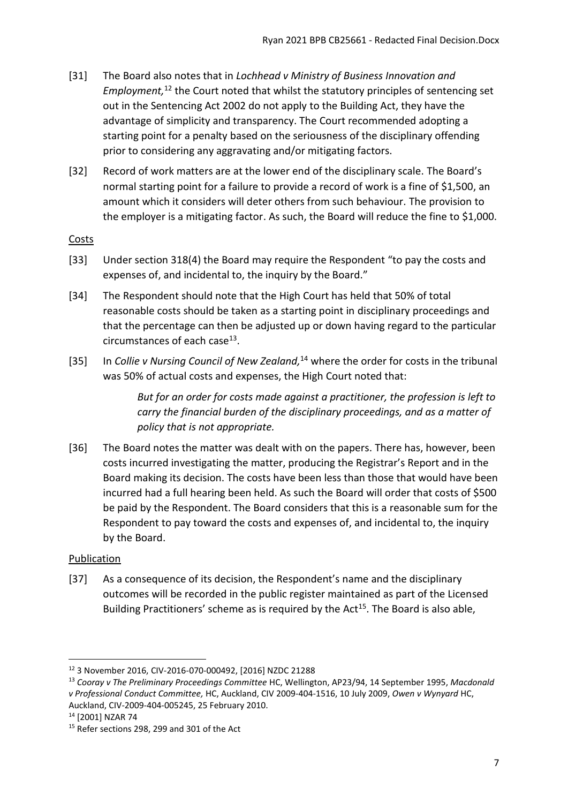- [31] The Board also notes that in *Lochhead v Ministry of Business Innovation and Employment,* <sup>12</sup> the Court noted that whilst the statutory principles of sentencing set out in the Sentencing Act 2002 do not apply to the Building Act, they have the advantage of simplicity and transparency. The Court recommended adopting a starting point for a penalty based on the seriousness of the disciplinary offending prior to considering any aggravating and/or mitigating factors.
- [32] Record of work matters are at the lower end of the disciplinary scale. The Board's normal starting point for a failure to provide a record of work is a fine of \$1,500, an amount which it considers will deter others from such behaviour. The provision to the employer is a mitigating factor. As such, the Board will reduce the fine to \$1,000.

# <span id="page-6-0"></span>**Costs**

- [33] Under section 318(4) the Board may require the Respondent "to pay the costs and expenses of, and incidental to, the inquiry by the Board."
- [34] The Respondent should note that the High Court has held that 50% of total reasonable costs should be taken as a starting point in disciplinary proceedings and that the percentage can then be adjusted up or down having regard to the particular circumstances of each case<sup>13</sup>.
- [35] In *Collie v Nursing Council of New Zealand*,<sup>14</sup> where the order for costs in the tribunal was 50% of actual costs and expenses, the High Court noted that:

*But for an order for costs made against a practitioner, the profession is left to carry the financial burden of the disciplinary proceedings, and as a matter of policy that is not appropriate.*

[36] The Board notes the matter was dealt with on the papers. There has, however, been costs incurred investigating the matter, producing the Registrar's Report and in the Board making its decision. The costs have been less than those that would have been incurred had a full hearing been held. As such the Board will order that costs of \$500 be paid by the Respondent. The Board considers that this is a reasonable sum for the Respondent to pay toward the costs and expenses of, and incidental to, the inquiry by the Board.

# <span id="page-6-1"></span>Publication

[37] As a consequence of its decision, the Respondent's name and the disciplinary outcomes will be recorded in the public register maintained as part of the Licensed Building Practitioners' scheme as is required by the Act<sup>15</sup>. The Board is also able,

**<sup>.</sup>** <sup>12</sup> 3 November 2016, CIV-2016-070-000492, [2016] NZDC 21288

<sup>13</sup> *Cooray v The Preliminary Proceedings Committee* HC, Wellington, AP23/94, 14 September 1995, *Macdonald v Professional Conduct Committee,* HC, Auckland, CIV 2009-404-1516, 10 July 2009, *Owen v Wynyard* HC, Auckland, CIV-2009-404-005245, 25 February 2010.

<sup>14</sup> [2001] NZAR 74

<sup>&</sup>lt;sup>15</sup> Refer sections 298, 299 and 301 of the Act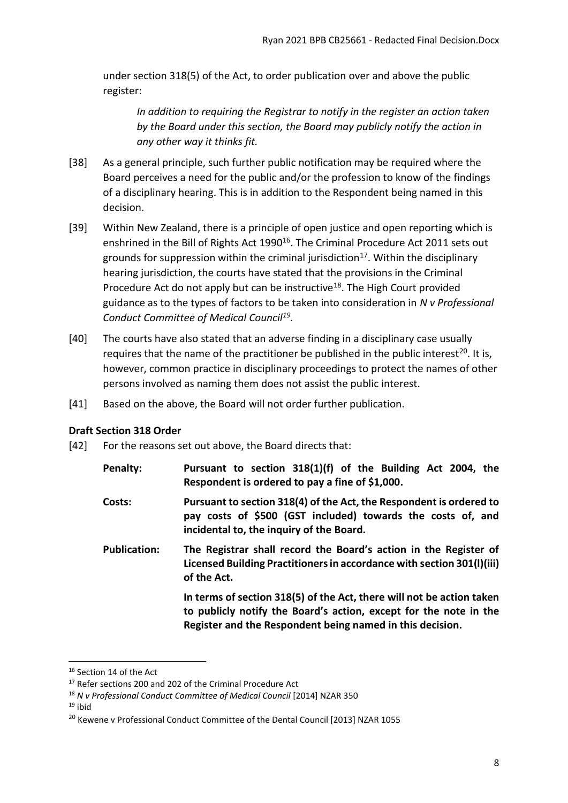under section 318(5) of the Act, to order publication over and above the public register:

*In addition to requiring the Registrar to notify in the register an action taken by the Board under this section, the Board may publicly notify the action in any other way it thinks fit.*

- [38] As a general principle, such further public notification may be required where the Board perceives a need for the public and/or the profession to know of the findings of a disciplinary hearing. This is in addition to the Respondent being named in this decision.
- [39] Within New Zealand, there is a principle of open justice and open reporting which is enshrined in the Bill of Rights Act 1990<sup>16</sup>. The Criminal Procedure Act 2011 sets out grounds for suppression within the criminal jurisdiction<sup>17</sup>. Within the disciplinary hearing jurisdiction, the courts have stated that the provisions in the Criminal Procedure Act do not apply but can be instructive<sup>18</sup>. The High Court provided guidance as to the types of factors to be taken into consideration in *N v Professional Conduct Committee of Medical Council<sup>19</sup> .*
- [40] The courts have also stated that an adverse finding in a disciplinary case usually requires that the name of the practitioner be published in the public interest<sup>20</sup>. It is, however, common practice in disciplinary proceedings to protect the names of other persons involved as naming them does not assist the public interest.
- [41] Based on the above, the Board will not order further publication.

# <span id="page-7-0"></span>**Draft Section 318 Order**

- [42] For the reasons set out above, the Board directs that:
	- **Penalty: Pursuant to section 318(1)(f) of the Building Act 2004, the Respondent is ordered to pay a fine of \$1,000.**
	- **Costs: Pursuant to section 318(4) of the Act, the Respondent is ordered to pay costs of \$500 (GST included) towards the costs of, and incidental to, the inquiry of the Board.**
	- **Publication: The Registrar shall record the Board's action in the Register of Licensed Building Practitioners in accordance with section 301(l)(iii) of the Act.**

**In terms of section 318(5) of the Act, there will not be action taken to publicly notify the Board's action, except for the note in the Register and the Respondent being named in this decision.**

 $19$  ibid

 $\overline{\phantom{a}}$ 

<sup>&</sup>lt;sup>16</sup> Section 14 of the Act

<sup>&</sup>lt;sup>17</sup> Refer sections 200 and 202 of the Criminal Procedure Act

<sup>18</sup> *N v Professional Conduct Committee of Medical Council* [2014] NZAR 350

<sup>&</sup>lt;sup>20</sup> Kewene v Professional Conduct Committee of the Dental Council [2013] NZAR 1055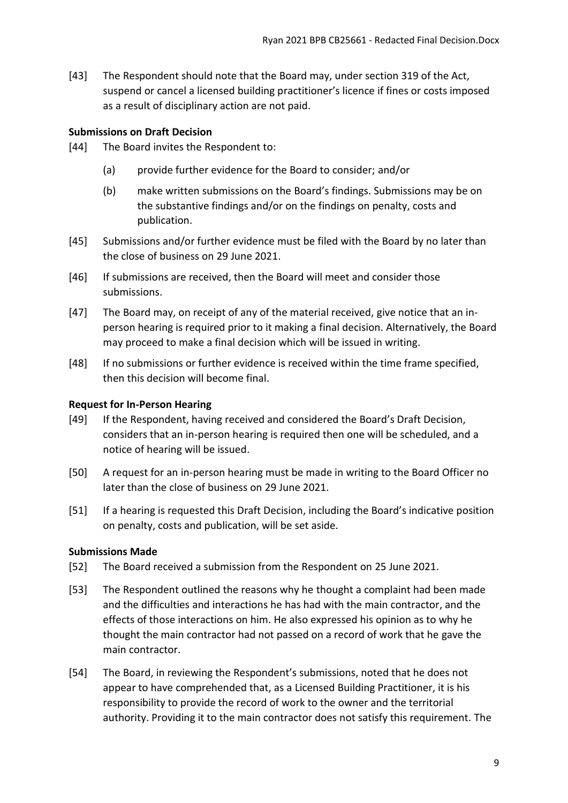[43] The Respondent should note that the Board may, under section 319 of the Act, suspend or cancel a licensed building practitioner's licence if fines or costs imposed as a result of disciplinary action are not paid.

## <span id="page-8-0"></span>**Submissions on Draft Decision**

- [44] The Board invites the Respondent to:
	- (a) provide further evidence for the Board to consider; and/or
	- (b) make written submissions on the Board's findings. Submissions may be on the substantive findings and/or on the findings on penalty, costs and publication.
- [45] Submissions and/or further evidence must be filed with the Board by no later than the close of business on 29 June 2021.
- [46] If submissions are received, then the Board will meet and consider those submissions.
- [47] The Board may, on receipt of any of the material received, give notice that an inperson hearing is required prior to it making a final decision. Alternatively, the Board may proceed to make a final decision which will be issued in writing.
- [48] If no submissions or further evidence is received within the time frame specified, then this decision will become final.

## <span id="page-8-1"></span>**Request for In-Person Hearing**

- [49] If the Respondent, having received and considered the Board's Draft Decision, considers that an in-person hearing is required then one will be scheduled, and a notice of hearing will be issued.
- [50] A request for an in-person hearing must be made in writing to the Board Officer no later than the close of business on 29 June 2021.
- [51] If a hearing is requested this Draft Decision, including the Board's indicative position on penalty, costs and publication, will be set aside.

### <span id="page-8-2"></span>**Submissions Made**

- [52] The Board received a submission from the Respondent on 25 June 2021.
- [53] The Respondent outlined the reasons why he thought a complaint had been made and the difficulties and interactions he has had with the main contractor, and the effects of those interactions on him. He also expressed his opinion as to why he thought the main contractor had not passed on a record of work that he gave the main contractor.
- [54] The Board, in reviewing the Respondent's submissions, noted that he does not appear to have comprehended that, as a Licensed Building Practitioner, it is his responsibility to provide the record of work to the owner and the territorial authority. Providing it to the main contractor does not satisfy this requirement. The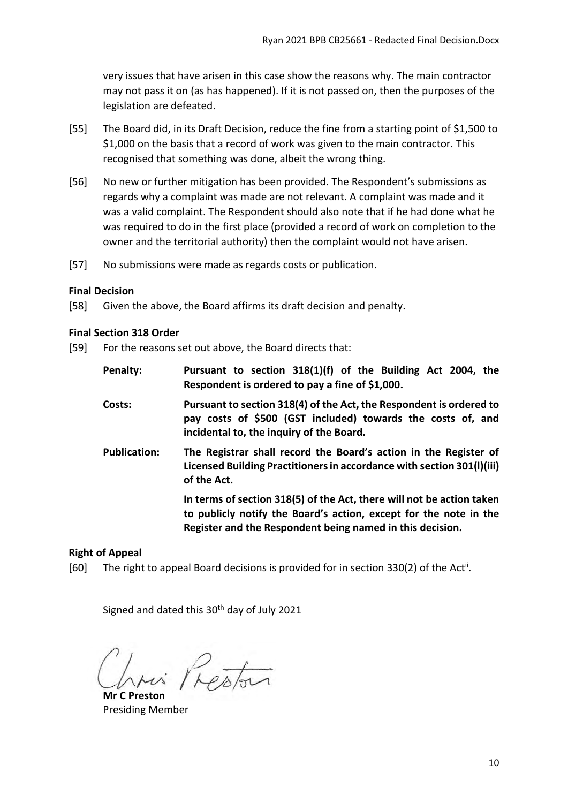very issues that have arisen in this case show the reasons why. The main contractor may not pass it on (as has happened). If it is not passed on, then the purposes of the legislation are defeated.

- [55] The Board did, in its Draft Decision, reduce the fine from a starting point of \$1,500 to \$1,000 on the basis that a record of work was given to the main contractor. This recognised that something was done, albeit the wrong thing.
- [56] No new or further mitigation has been provided. The Respondent's submissions as regards why a complaint was made are not relevant. A complaint was made and it was a valid complaint. The Respondent should also note that if he had done what he was required to do in the first place (provided a record of work on completion to the owner and the territorial authority) then the complaint would not have arisen.
- [57] No submissions were made as regards costs or publication.

#### <span id="page-9-0"></span>**Final Decision**

[58] Given the above, the Board affirms its draft decision and penalty.

#### <span id="page-9-1"></span>**Final Section 318 Order**

- [59] For the reasons set out above, the Board directs that:
	- **Penalty: Pursuant to section 318(1)(f) of the Building Act 2004, the Respondent is ordered to pay a fine of \$1,000.**
	- **Costs: Pursuant to section 318(4) of the Act, the Respondent is ordered to pay costs of \$500 (GST included) towards the costs of, and incidental to, the inquiry of the Board.**
	- **Publication: The Registrar shall record the Board's action in the Register of Licensed Building Practitioners in accordance with section 301(l)(iii) of the Act.**

**In terms of section 318(5) of the Act, there will not be action taken to publicly notify the Board's action, except for the note in the Register and the Respondent being named in this decision.**

### <span id="page-9-2"></span>**Right of Appeal**

[60] The right to appeal Board decisions is provided for in section 330(2) of the Act<sup>ii</sup>.

Signed and dated this 30<sup>th</sup> day of July 2021

Presta

**Mr C Preston** Presiding Member